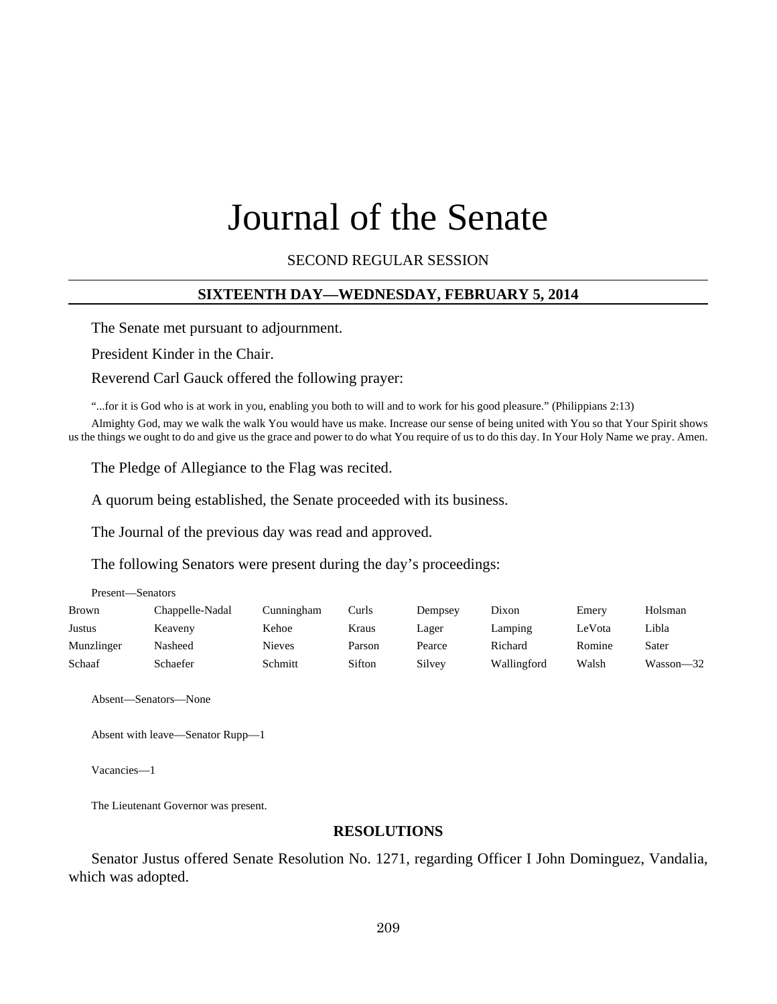# Journal of the Senate

SECOND REGULAR SESSION

#### **SIXTEENTH DAY—WEDNESDAY, FEBRUARY 5, 2014**

The Senate met pursuant to adjournment.

President Kinder in the Chair.

Reverend Carl Gauck offered the following prayer:

"...for it is God who is at work in you, enabling you both to will and to work for his good pleasure." (Philippians 2:13)

Almighty God, may we walk the walk You would have us make. Increase our sense of being united with You so that Your Spirit shows us the things we ought to do and give us the grace and power to do what You require of us to do this day. In Your Holy Name we pray. Amen.

The Pledge of Allegiance to the Flag was recited.

A quorum being established, the Senate proceeded with its business.

The Journal of the previous day was read and approved.

The following Senators were present during the day's proceedings:

| <b>Brown</b> | Chappelle-Nadal | Cunningham | Curls  | Dempsey | Dixon       | Emery  | Holsman       |
|--------------|-----------------|------------|--------|---------|-------------|--------|---------------|
| Justus       | Keaveny         | Kehoe      | Kraus  | Lager   | Lamping     | LeVota | Libla         |
| Munzlinger   | Nasheed         | Nieves     | Parson | Pearce  | Richard     | Romine | Sater         |
| Schaaf       | Schaefer        | Schmitt    | Sifton | Silvey  | Wallingford | Walsh  | $Wasson - 32$ |

Absent—Senators—None

Present—Senators

Absent with leave—Senator Rupp—1

Vacancies—1

The Lieutenant Governor was present.

#### **RESOLUTIONS**

Senator Justus offered Senate Resolution No. 1271, regarding Officer I John Dominguez, Vandalia, which was adopted.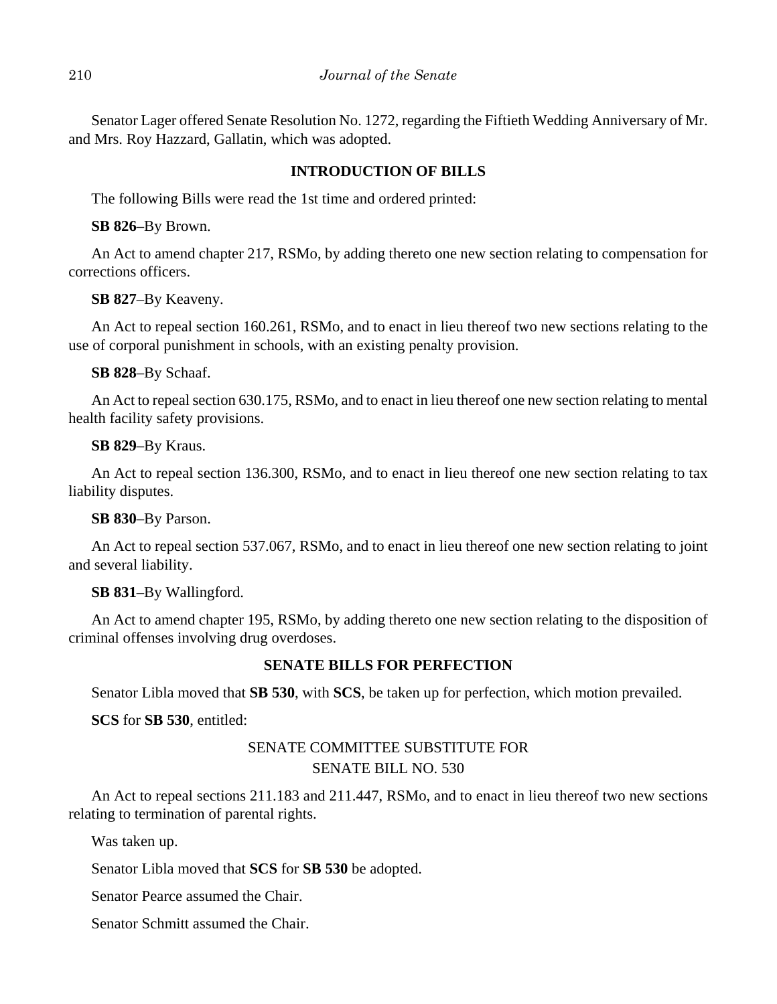Senator Lager offered Senate Resolution No. 1272, regarding the Fiftieth Wedding Anniversary of Mr. and Mrs. Roy Hazzard, Gallatin, which was adopted.

## **INTRODUCTION OF BILLS**

The following Bills were read the 1st time and ordered printed:

**SB 826–**By Brown.

An Act to amend chapter 217, RSMo, by adding thereto one new section relating to compensation for corrections officers.

**SB 827**–By Keaveny.

An Act to repeal section 160.261, RSMo, and to enact in lieu thereof two new sections relating to the use of corporal punishment in schools, with an existing penalty provision.

## **SB 828**–By Schaaf.

An Act to repeal section 630.175, RSMo, and to enact in lieu thereof one new section relating to mental health facility safety provisions.

## **SB 829**–By Kraus.

An Act to repeal section 136.300, RSMo, and to enact in lieu thereof one new section relating to tax liability disputes.

## **SB 830**–By Parson.

An Act to repeal section 537.067, RSMo, and to enact in lieu thereof one new section relating to joint and several liability.

## **SB 831**–By Wallingford.

An Act to amend chapter 195, RSMo, by adding thereto one new section relating to the disposition of criminal offenses involving drug overdoses.

## **SENATE BILLS FOR PERFECTION**

Senator Libla moved that **SB 530**, with **SCS**, be taken up for perfection, which motion prevailed.

**SCS** for **SB 530**, entitled:

# SENATE COMMITTEE SUBSTITUTE FOR SENATE BILL NO. 530

An Act to repeal sections 211.183 and 211.447, RSMo, and to enact in lieu thereof two new sections relating to termination of parental rights.

Was taken up.

Senator Libla moved that **SCS** for **SB 530** be adopted.

Senator Pearce assumed the Chair.

Senator Schmitt assumed the Chair.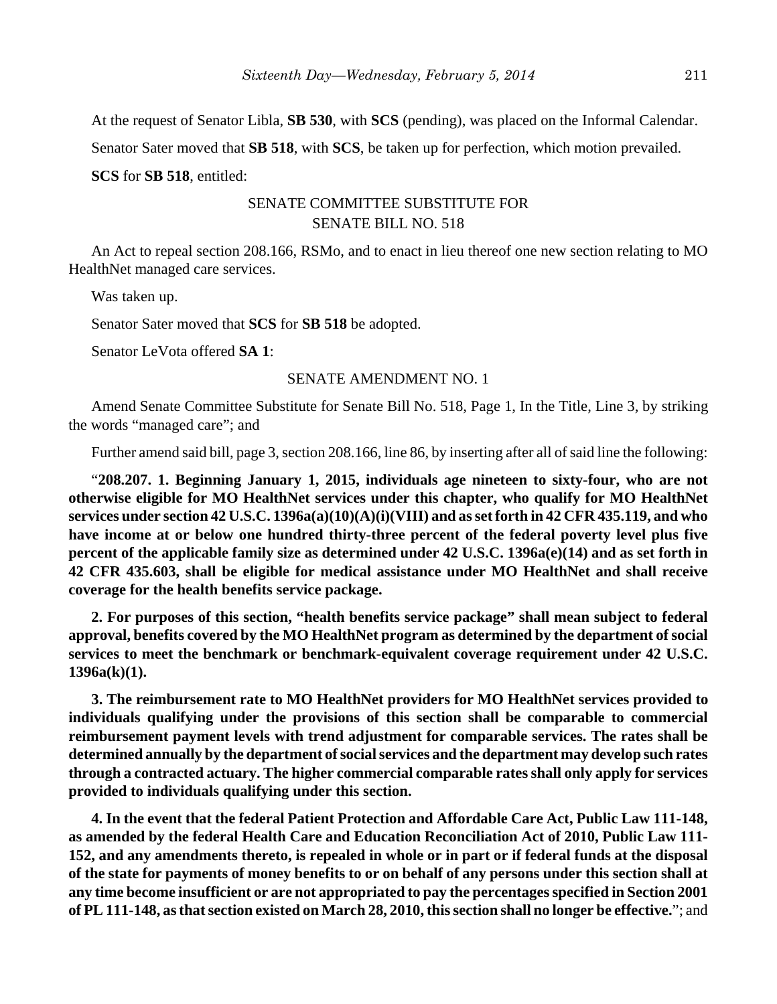At the request of Senator Libla, **SB 530**, with **SCS** (pending), was placed on the Informal Calendar.

Senator Sater moved that **SB 518**, with **SCS**, be taken up for perfection, which motion prevailed.

**SCS** for **SB 518**, entitled:

# SENATE COMMITTEE SUBSTITUTE FOR SENATE BILL NO. 518

An Act to repeal section 208.166, RSMo, and to enact in lieu thereof one new section relating to MO HealthNet managed care services.

Was taken up.

Senator Sater moved that **SCS** for **SB 518** be adopted.

Senator LeVota offered **SA 1**:

## SENATE AMENDMENT NO. 1

Amend Senate Committee Substitute for Senate Bill No. 518, Page 1, In the Title, Line 3, by striking the words "managed care"; and

Further amend said bill, page 3, section 208.166, line 86, by inserting after all of said line the following:

"**208.207. 1. Beginning January 1, 2015, individuals age nineteen to sixty-four, who are not otherwise eligible for MO HealthNet services under this chapter, who qualify for MO HealthNet services under section 42 U.S.C. 1396a(a)(10)(A)(i)(VIII) and as set forth in 42 CFR 435.119, and who have income at or below one hundred thirty-three percent of the federal poverty level plus five percent of the applicable family size as determined under 42 U.S.C. 1396a(e)(14) and as set forth in 42 CFR 435.603, shall be eligible for medical assistance under MO HealthNet and shall receive coverage for the health benefits service package.**

**2. For purposes of this section, "health benefits service package" shall mean subject to federal approval, benefits covered by the MO HealthNet program as determined by the department of social services to meet the benchmark or benchmark-equivalent coverage requirement under 42 U.S.C. 1396a(k)(1).**

**3. The reimbursement rate to MO HealthNet providers for MO HealthNet services provided to individuals qualifying under the provisions of this section shall be comparable to commercial reimbursement payment levels with trend adjustment for comparable services. The rates shall be determined annually by the department of social services and the department may develop such rates through a contracted actuary. The higher commercial comparable rates shall only apply for services provided to individuals qualifying under this section.**

**4. In the event that the federal Patient Protection and Affordable Care Act, Public Law 111-148, as amended by the federal Health Care and Education Reconciliation Act of 2010, Public Law 111- 152, and any amendments thereto, is repealed in whole or in part or if federal funds at the disposal of the state for payments of money benefits to or on behalf of any persons under this section shall at any time become insufficient or are not appropriated to pay the percentages specified in Section 2001 of PL 111-148, as that section existed on March 28, 2010, this section shall no longer be effective.**"; and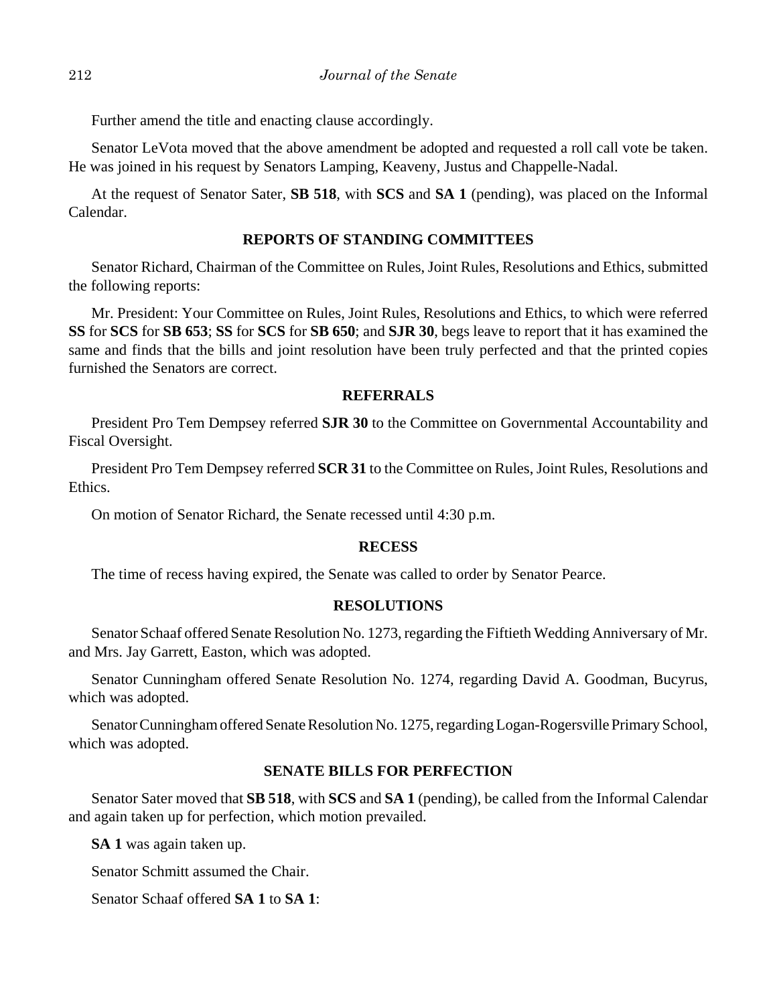Further amend the title and enacting clause accordingly.

Senator LeVota moved that the above amendment be adopted and requested a roll call vote be taken. He was joined in his request by Senators Lamping, Keaveny, Justus and Chappelle-Nadal.

At the request of Senator Sater, **SB 518**, with **SCS** and **SA 1** (pending), was placed on the Informal Calendar.

## **REPORTS OF STANDING COMMITTEES**

Senator Richard, Chairman of the Committee on Rules, Joint Rules, Resolutions and Ethics, submitted the following reports:

Mr. President: Your Committee on Rules, Joint Rules, Resolutions and Ethics, to which were referred **SS** for **SCS** for **SB 653**; **SS** for **SCS** for **SB 650**; and **SJR 30**, begs leave to report that it has examined the same and finds that the bills and joint resolution have been truly perfected and that the printed copies furnished the Senators are correct.

## **REFERRALS**

President Pro Tem Dempsey referred **SJR 30** to the Committee on Governmental Accountability and Fiscal Oversight.

President Pro Tem Dempsey referred **SCR 31** to the Committee on Rules, Joint Rules, Resolutions and Ethics.

On motion of Senator Richard, the Senate recessed until 4:30 p.m.

## **RECESS**

The time of recess having expired, the Senate was called to order by Senator Pearce.

## **RESOLUTIONS**

Senator Schaaf offered Senate Resolution No. 1273, regarding the Fiftieth Wedding Anniversary of Mr. and Mrs. Jay Garrett, Easton, which was adopted.

Senator Cunningham offered Senate Resolution No. 1274, regarding David A. Goodman, Bucyrus, which was adopted.

Senator Cunningham offered Senate Resolution No. 1275, regarding Logan-Rogersville Primary School, which was adopted.

## **SENATE BILLS FOR PERFECTION**

Senator Sater moved that **SB 518**, with **SCS** and **SA 1** (pending), be called from the Informal Calendar and again taken up for perfection, which motion prevailed.

**SA 1** was again taken up.

Senator Schmitt assumed the Chair.

Senator Schaaf offered **SA 1** to **SA 1**: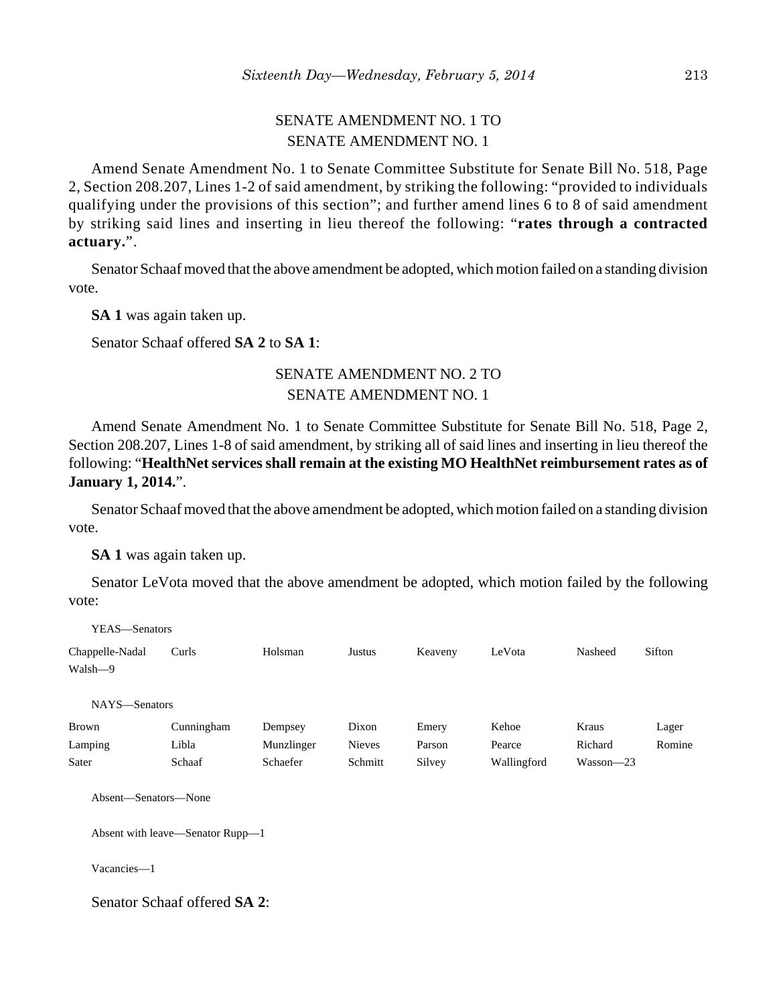# SENATE AMENDMENT NO. 1 TO SENATE AMENDMENT NO. 1

Amend Senate Amendment No. 1 to Senate Committee Substitute for Senate Bill No. 518, Page 2, Section 208.207, Lines 1-2 of said amendment, by striking the following: "provided to individuals qualifying under the provisions of this section"; and further amend lines 6 to 8 of said amendment by striking said lines and inserting in lieu thereof the following: "**rates through a contracted actuary.**".

Senator Schaaf moved that the above amendment be adopted, which motion failed on a standing division vote.

**SA 1** was again taken up.

Senator Schaaf offered **SA 2** to **SA 1**:

# SENATE AMENDMENT NO. 2 TO SENATE AMENDMENT NO. 1

Amend Senate Amendment No. 1 to Senate Committee Substitute for Senate Bill No. 518, Page 2, Section 208.207, Lines 1-8 of said amendment, by striking all of said lines and inserting in lieu thereof the following: "**HealthNet services shall remain at the existing MO HealthNet reimbursement rates as of January 1, 2014.**".

Senator Schaaf moved that the above amendment be adopted, which motion failed on a standing division vote.

**SA 1** was again taken up.

Senator LeVota moved that the above amendment be adopted, which motion failed by the following vote:

| YEAS—Senators                    |            |            |               |         |             |               |        |
|----------------------------------|------------|------------|---------------|---------|-------------|---------------|--------|
| Chappelle-Nadal                  | Curls      | Holsman    | Justus        | Keaveny | LeVota      | Nasheed       | Sifton |
| Walsh-9                          |            |            |               |         |             |               |        |
| NAYS-Senators                    |            |            |               |         |             |               |        |
| <b>Brown</b>                     | Cunningham | Dempsey    | Dixon         | Emery   | Kehoe       | Kraus         | Lager  |
| Lamping                          | Libla      | Munzlinger | <b>Nieves</b> | Parson  | Pearce      | Richard       | Romine |
| Sater                            | Schaaf     | Schaefer   | Schmitt       | Silvey  | Wallingford | $Wasson - 23$ |        |
| Absent—Senators—None             |            |            |               |         |             |               |        |
| Absent with leave—Senator Rupp—1 |            |            |               |         |             |               |        |
| Vacancies-1                      |            |            |               |         |             |               |        |

Senator Schaaf offered **SA 2**: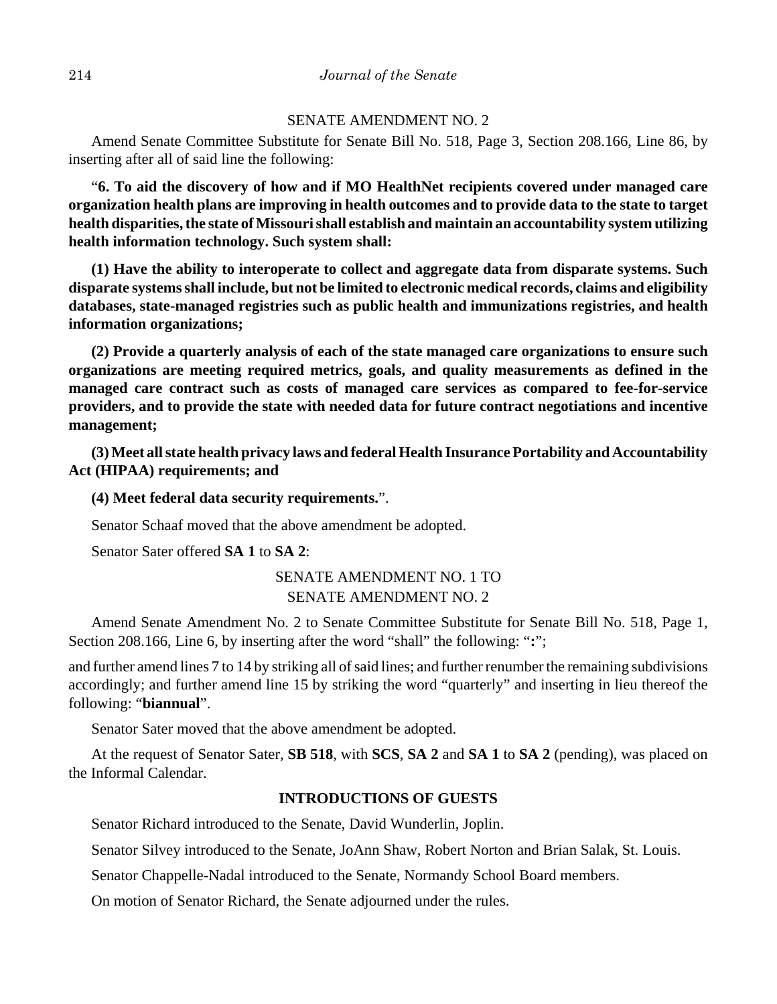## SENATE AMENDMENT NO. 2

Amend Senate Committee Substitute for Senate Bill No. 518, Page 3, Section 208.166, Line 86, by inserting after all of said line the following:

"**6. To aid the discovery of how and if MO HealthNet recipients covered under managed care organization health plans are improving in health outcomes and to provide data to the state to target health disparities, the state of Missouri shall establish and maintain an accountability system utilizing health information technology. Such system shall:**

**(1) Have the ability to interoperate to collect and aggregate data from disparate systems. Such disparate systems shall include, but not be limited to electronic medical records, claims and eligibility databases, state-managed registries such as public health and immunizations registries, and health information organizations;**

**(2) Provide a quarterly analysis of each of the state managed care organizations to ensure such organizations are meeting required metrics, goals, and quality measurements as defined in the managed care contract such as costs of managed care services as compared to fee-for-service providers, and to provide the state with needed data for future contract negotiations and incentive management;**

**(3) Meet all state health privacy laws and federal Health Insurance Portability and Accountability Act (HIPAA) requirements; and**

**(4) Meet federal data security requirements.**".

Senator Schaaf moved that the above amendment be adopted.

Senator Sater offered **SA 1** to **SA 2**:

# SENATE AMENDMENT NO. 1 TO SENATE AMENDMENT NO. 2

Amend Senate Amendment No. 2 to Senate Committee Substitute for Senate Bill No. 518, Page 1, Section 208.166, Line 6, by inserting after the word "shall" the following: "**:**";

and further amend lines 7 to 14 by striking all of said lines; and further renumber the remaining subdivisions accordingly; and further amend line 15 by striking the word "quarterly" and inserting in lieu thereof the following: "**biannual**".

Senator Sater moved that the above amendment be adopted.

At the request of Senator Sater, **SB 518**, with **SCS**, **SA 2** and **SA 1** to **SA 2** (pending), was placed on the Informal Calendar.

## **INTRODUCTIONS OF GUESTS**

Senator Richard introduced to the Senate, David Wunderlin, Joplin.

Senator Silvey introduced to the Senate, JoAnn Shaw, Robert Norton and Brian Salak, St. Louis.

Senator Chappelle-Nadal introduced to the Senate, Normandy School Board members.

On motion of Senator Richard, the Senate adjourned under the rules.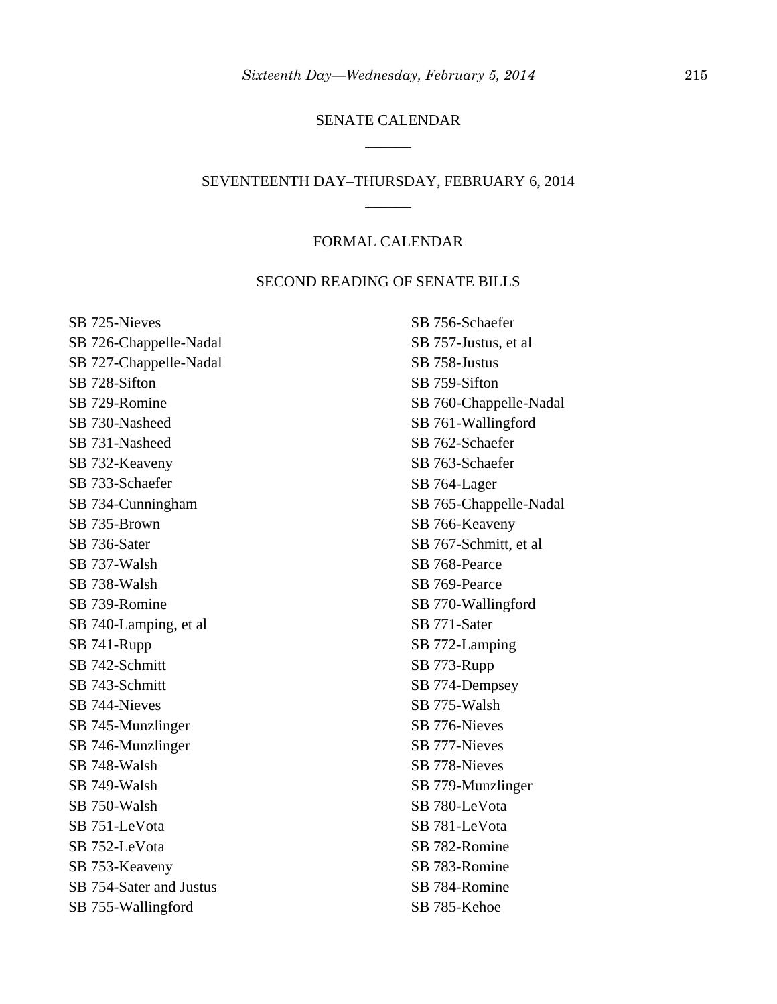# SENATE CALENDAR \_\_\_\_\_\_

# SEVENTEENTH DAY–THURSDAY, FEBRUARY 6, 2014 \_\_\_\_\_\_

## FORMAL CALENDAR

#### SECOND READING OF SENATE BILLS

SB 725-Nieves SB 726-Chappelle-Nadal SB 727-Chappelle-Nadal SB 728-Sifton SB 729-Romine SB 730-Nasheed SB 731-Nasheed SB 732-Keaveny SB 733-Schaefer SB 734-Cunningham SB 735-Brown SB 736-Sater SB 737-Walsh SB 738-Walsh SB 739-Romine SB 740-Lamping, et al SB 741-Rupp SB 742-Schmitt SB 743-Schmitt SB 744-Nieves SB 745-Munzlinger SB 746-Munzlinger SB 748-Walsh SB 749-Walsh SB 750-Walsh SB 751-LeVota SB 752-LeVota SB 753-Keaveny SB 754-Sater and Justus SB 755-Wallingford

SB 756-Schaefer SB 757-Justus, et al SB 758-Justus SB 759-Sifton SB 760-Chappelle-Nadal SB 761-Wallingford SB 762-Schaefer SB 763-Schaefer SB 764-Lager SB 765-Chappelle-Nadal SB 766-Keaveny SB 767-Schmitt, et al SB 768-Pearce SB 769-Pearce SB 770-Wallingford SB 771-Sater SB 772-Lamping SB 773-Rupp SB 774-Dempsey SB 775-Walsh SB 776-Nieves SB 777-Nieves SB 778-Nieves SB 779-Munzlinger SB 780-LeVota SB 781-LeVota SB 782-Romine SB 783-Romine SB 784-Romine SB 785-Kehoe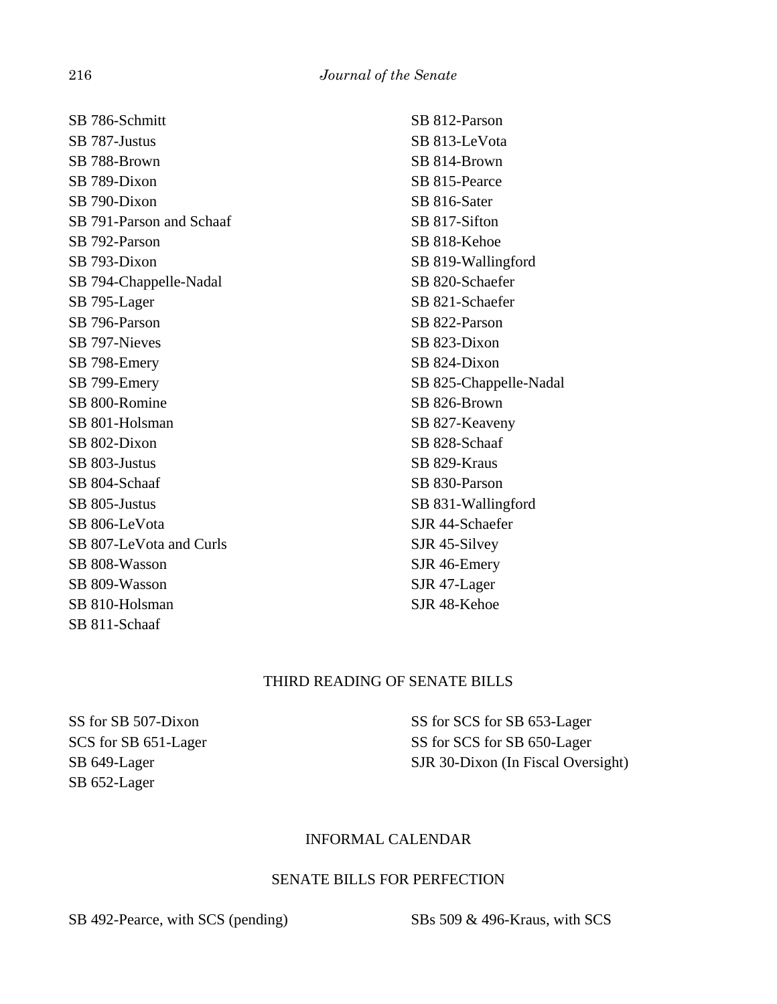| SB 786-Schmitt           | SB 812-Parson          |
|--------------------------|------------------------|
| SB 787-Justus            | SB 813-LeVota          |
| SB 788-Brown             | SB 814-Brown           |
| SB 789-Dixon             | SB 815-Pearce          |
| SB 790-Dixon             | SB 816-Sater           |
| SB 791-Parson and Schaaf | SB 817-Sifton          |
| SB 792-Parson            | SB 818-Kehoe           |
| SB 793-Dixon             | SB 819-Wallingford     |
| SB 794-Chappelle-Nadal   | SB 820-Schaefer        |
| SB 795-Lager             | SB 821-Schaefer        |
| SB 796-Parson            | SB 822-Parson          |
| SB 797-Nieves            | SB 823-Dixon           |
| SB 798-Emery             | SB 824-Dixon           |
| SB 799-Emery             | SB 825-Chappelle-Nadal |
| SB 800-Romine            | SB 826-Brown           |
| SB 801-Holsman           | SB 827-Keaveny         |
| SB 802-Dixon             | SB 828-Schaaf          |
| SB 803-Justus            | SB 829-Kraus           |
| SB 804-Schaaf            | SB 830-Parson          |
| SB 805-Justus            | SB 831-Wallingford     |
| SB 806-LeVota            | SJR 44-Schaefer        |
| SB 807-LeVota and Curls  | SJR 45-Silvey          |
| SB 808-Wasson            | SJR 46-Emery           |
| SB 809-Wasson            | SJR 47-Lager           |
| SB 810-Holsman           | SJR 48-Kehoe           |

# THIRD READING OF SENATE BILLS

SS for SB 507-Dixon SCS for SB 651-Lager SB 649-Lager SB 652-Lager

SB 811-Schaaf

SS for SCS for SB 653-Lager SS for SCS for SB 650-Lager SJR 30-Dixon (In Fiscal Oversight)

## INFORMAL CALENDAR

## SENATE BILLS FOR PERFECTION

SB 492-Pearce, with SCS (pending) SBs 509 & 496-Kraus, with SCS